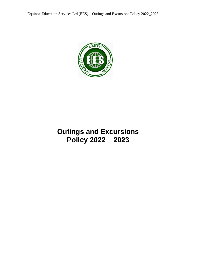

# **Outings and Excursions Policy 2022 \_ 2023**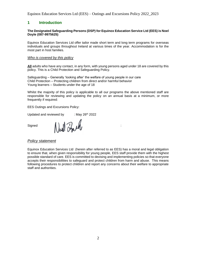## **1 Introduction**

#### **The Designated Safeguarding Persons (DSP) for Equinox Education Service Ltd (EES) is Noel Doyle (087-9975625)**

Equinox Education Services Ltd offer tailor made short term and long term programs for overseas individuals and groups throughout Ireland at various times of the year. Accommodation is for the most part in host families.

#### *Who is covered by this policy*

**All** adults who have any contact, in any form, with young persons aged under 18 are covered by this policy. This is a Child Protection and Safeguarding Policy.

Safeguarding – Generally 'looking after' the welfare of young people in our care Child Protection – Protecting children from direct and/or harmful behavior Young learners – Students under the age of 18

Whilst the majority of this policy is applicable to all our programs the above mentioned staff are responsible for reviewing and updating the policy on an annual basis at a minimum, or more frequently if required:

EES Outings and Excursions Policy:

Updated and reviewed by  $\cdot$  : May 26<sup>th</sup> 2022

Signed North Proche

#### *Policy statement*

Equinox Education Services Ltd (herein after referred to as EES) has a moral and legal obligation to ensure that, when given responsibility for young people, EES staff provide them with the highest possible standard of care. EES is committed to devising and implementing policies so that everyone accepts their responsibilities to safeguard and protect children from harm and abuse. This means following procedures to protect children and report any concerns about their welfare to appropriate staff and authorities.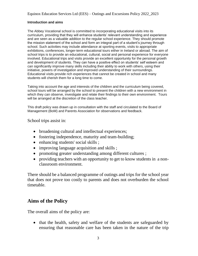## **Introduction and aims**

The Abbey Vocational school is committed to incorporating educational visits into its curriculum, providing that they will enhance students' relevant understanding and experience and are seen as a valuable addition to the regular school experience. They should promote the mission statement of the school and form an integral part of a student's journey through school. Such activities may include attendance at sporting events, visits to appropriate exhibitions, conferences, longer-term educational tours either in Ireland or abroad. The aim of school trips is to provide an educational, cultural, social and personal experience for everyone involved. Educational trips and visits provide an excellent opportunity for the personal growth and development of students. They can have a positive effect on students' self esteem and can significantly improve many skills including their ability to work with others, using their initiative, powers of investigation and improved understanding of their surroundings. Educational visits provide rich experiences that cannot be created in school and many students will cherish them for a long time to come.

Taking into account the age and interests of the children and the curriculum being covered, school tours will be arranged by the school to present the children with a new environment in which they can observe, investigate and relate their findings to their own environment. Tours will be arranged at the discretion of the class teacher.

This draft policy was drawn up in consultation with the staff and circulated to the Board of Management (BoM) and Parents Association for observations and feedback.

## School trips assist in:

- broadening cultural and intellectual experiences;
- fostering independence, maturity and team-building;
- enhancing students' social skills ;
- improving language acquisition and skills ;
- promoting greater understanding among different cultures;
- providing teachers with an opportunity to get to know students in a nonclassroom environment.

There should be a balanced programme of outings and trips for the school year that does not prove too costly to parents and does not overburden the school timetable.

## **Aims of the Policy**

The overall aims of the policy are:

• that the health, safety and welfare of the students are safeguarded by ensuring that reasonable care has been taken in the nature of the trip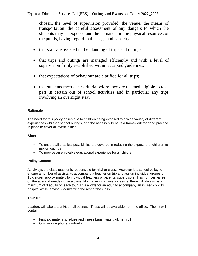chosen, the level of supervision provided, the venue, the means of transportation, the careful assessment of any dangers to which the students may be exposed and the demands on the physical resources of the pupils, having regard to their age and capacity;

- that staff are assisted in the planning of trips and outings;
- that trips and outings are managed efficiently and with a level of supervision firmly established within accepted guidelines;
- that expectations of behaviour are clarified for all trips;
- that students meet clear criteria before they are deemed eligible to take part in certain out of school activities and in particular any trips involving an overnight stay.

## **Rationale**

The need for this policy arises due to children being exposed to a wide variety of different experiences while on school outings, and the necessity to have a framework for good practice in place to cover all eventualities.

## **Aims**

- To ensure all practical possibilities are covered in reducing the exposure of children to risk on outings
- To provide an enjoyable educational experience for all children

## **Policy Content**

As always the class teacher is responsible for his/her class. However it is school policy to ensure a number of assistants accompany a teacher on trip and assign individual groups of 10 children approximately to individual teachers or parental supervisors. This number varies on the age and needs within a class. No matter what size a class is, there will always be a minimum of 3 adults on each tour. This allows for an adult to accompany an injured child to hospital while leaving 2 adults with the rest of the class.

## **Tour Kit**

Leaders will take a tour kit on all outings. These will be available from the office. The kit will contain;

- First aid materials, refuse and illness bags, water, kitchen roll
- Own mobile phone, umbrella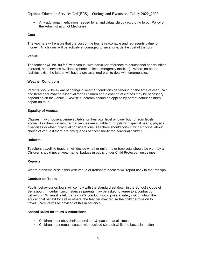Equinox Education Services Ltd (EES) – Outings and Excursions Policy 2022\_2023

• Any additional medication needed by an individual chilod (according to our Policy on the Administration of Medicine)

#### **Cost**

The teachers will ensure that the cost of the tour is reasonable and represents value for money. All children will be actively encouraged to save towards the cost of the tour.

#### **Venue**

The teacher will be "au fait" with venue, with particular reference to educational opportunities afforded, and services available (phone, toilets, emergency facilities). Where no phone facilities exist, the leader will have a pre-arranged plan to deal with emergencies.

#### **Weather Conditions**

Parents should be aware of changing weather conditions depending on the time of year. Rain and head gear may be essential for all children and a change of clothes may be necessary, depending on the venue. Likewise suncream should be applied by parent before children depart on tour.

#### **Equality of Access**

Classes may choose a venue suitable for their own level or lower but not from levels above. Teachers will ensure that venues are suitable for pupils with special needs, physical disabilities or other individual considerations. Teachers should consult with Principal about choice of venue if there are any queries of accessibility for individual children.

#### **Uniforms**

Teachers travelling together will decide whether uniforms or tracksuits should be worn by all. Children should never wear name badges in public under Child Protection guidelines.

#### **Reports**

Where problems arise either with venue or transport teachers will report back to the Principal.

#### **Conduct on Tours**

Pupils' behaviour on tours will comply with the standard set down in the School's Code of Behaviour. In certain circumstances parents may be asked to agree to a contract on behaviour. Where it is felt that a child's conduct would pose a safety risk or inhibit the educational benefit for self or others, the teacher may refuse the child permission to travel. Parents will be advised of this in advance.

#### **School Rules for tours & excursions**

- Children must obey their supervisors & teachers at all times
- Children must remain seated with buckled seatbelt while the bus is in motion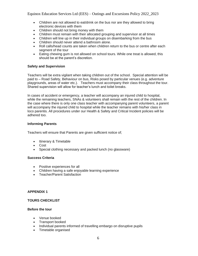- Children are not allowed to eat/drink on the bus nor are they allowed to bring electronic devices with them
- Children should not bring money with them
- Children must remain with their allocated grouping and supervisor at all times
- Children will line up in their individual groups on disembarking from the bus
- Children should never attend a bathroom alone.
- Roll calls/head counts are taken when children return to the bus or centre after each segment of the tour
- Eating chewing gum is not allowed on school tours. While one treat is allowed, this should be at the parent's discretion.

#### **Safety and Supervision**

Teachers will be extra vigilant when taking children out of the school. Special attention will be paid to – Road Safety, Behaviour on bus, Risks posed by particular venues (e.g. adventure playgrounds, areas of water etc.). Teachers must accompany their class throughout the tour. Shared supervision will allow for teacher's lunch and toilet breaks.

In cases of accident or emergency, a teacher will accompany an injured child to hospital, while the remaining teachers, SNAs & volunteers shall remain with the rest of the children. In the case where there is only one class teacher with accompanying parent volunteers, a parent will accompany the injured child to hospital while the teacher remains with his/her class in loco parentis. All procedures under our Health & Safety and Critical Incident policies will be adhered too.

#### **Informing Parents**

Teachers will ensure that Parents are given sufficient notice of;

- Itinerary & Timetable
- Cost
- Special clothing necessary and packed lunch (no glassware)

#### **Success Criteria**

- Positive experiences for all
- Children having a safe enjoyable learning experience
- Teacher/Parent Satisfaction

#### **APPENDIX 1**

## **TOURS CHECKLIST**

#### **Before the tour**

- Venue booked
- Transport booked
- Individual parents informed of travelling embargo on disruptive pupils
- Timetable organised